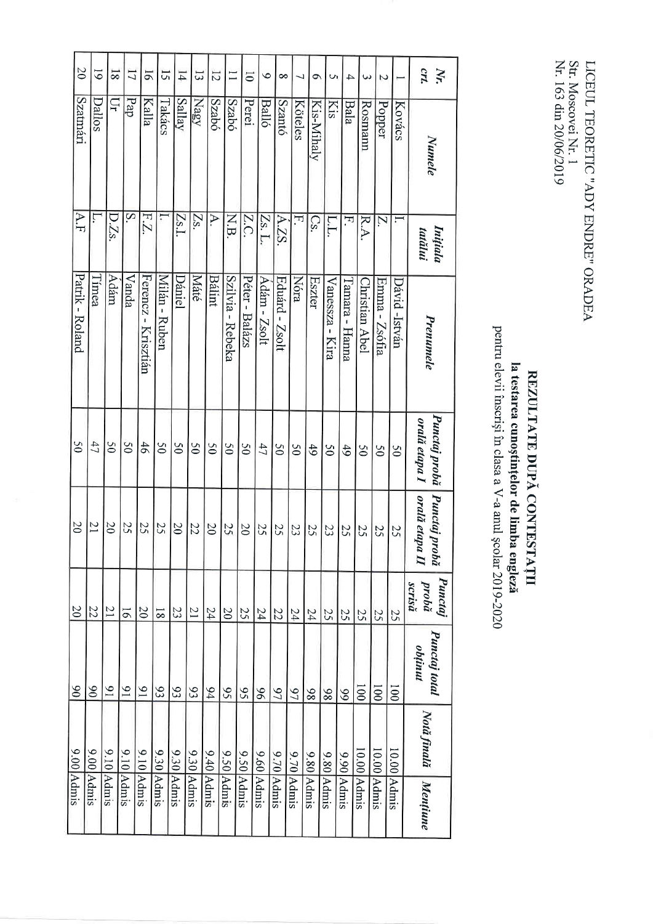Str. Moscovei Nr. 1<br>Nr. 163 din 20/06/2019 LICEUL TEORETIC "ADY ENDRE" ORADEA

## pentru elevii înscriși în clasa a V-a anul școlar 2019-2020 la testarea cunoștințelor de limba engleză REZULTATE DUPĂ CONTESTAȚII

| $\infty$        | $\overline{6}$  | $\overline{8}$  | $\overline{L}$              | 51                  | 51             | $\overline{14}$ | 53              | $\overline{5}$  | $\Xi$            | $\overline{0}$  | $\bullet$    | $\infty$        | 7              | ٩             | S               | 4               | س                                  | 2                       |               | crt.<br>Nr.                     |
|-----------------|-----------------|-----------------|-----------------------------|---------------------|----------------|-----------------|-----------------|-----------------|------------------|-----------------|--------------|-----------------|----------------|---------------|-----------------|-----------------|------------------------------------|-------------------------|---------------|---------------------------------|
| Szatmári        | Dallos          | Ξ               | pap                         | Kalla               | Takács         | Sallay          | Nagy            | Szabó           | <b>Szabó</b>     | Perei           | <b>Balló</b> | <b>Szantó</b>   | Köteles        | Kis-Mihaly    | <b>Kis</b>      | <b>Bala</b>     | Rosmann                            | Popper                  | Kovács        | Numele                          |
| A.F             | Ļ               | D.Zs.           | $\overline{\mathbf{S}}$     | EZ                  |                | [Zs.I.          | Zs.             | $\Delta$ .      | N.B.             | Z.C.            | Zs. L.       | A.ZS.           | F.             | $\mathbb{C}S$ | L.L.            | 모.              | R.A.                               | $\overline{\mathsf{N}}$ |               | Inițiala<br>tatălui             |
| Patrik - Roland | l'imea          | Adám            | Vanda                       | Ferencz - Krisztián | Milán - Ruben  | Dániel          | Máté            | <b>Bálint</b>   | Szilvia - Rebeka | Péter - Balázs  | Adám - Zsolt | Eduárd - Zsolt  | Nóra           | <b>Eszter</b> | Vanessza - Kira | l'amara - Hanna | Christian Abel                     | Emma - Zsófia           | Dávid -István | Prenumele                       |
| $\mathcal{S}^0$ | 47              | $\overline{50}$ | $\mathcal{S}^{\mathcal{O}}$ | 46                  | $\overline{6}$ | $\overline{50}$ | $\mathcal{S}^0$ | $\mathcal{S}^0$ | 65               | $\overline{5}0$ | 47           | $\overline{50}$ | $\mathcal{S}$  | 49            | $\overline{50}$ | 49              | $\mathcal{S}^{\mathcal{O}}$        | $\overline{5}$          | 50            | Punctaj probă<br>orală etapa I  |
| $\Omega$        | $\overline{21}$ | 20              | 25                          | 25                  | 25             | $\infty$        | 22              | 20              | 25               | $\infty$        | 25           | 25              | 23             | 25            | 23              | 25              | 25                                 | 25                      | 25            | orală etapa II<br>Punctaj probă |
| 0 <sup>z</sup>  | 22              | $\overline{21}$ | $\overline{9}$              | 20                  | $\overline{8}$ | 23              | $\overline{z}$  | 24              | $\overline{20}$  | 25              | 54           | $\overline{22}$ | $24\,$         | 24            | 52              | 25              | 25                                 | 25                      | 25            | Punctaj<br>probă<br>scrisă      |
| 06              | $\delta$        | $\overline{6}$  | $\mathfrak{g}_1$            | $\overline{6}$      | 93             | 93              | 93              | 64              | 56               | 56              | 96           | 27              | 6 <sub>1</sub> | 86            | 86              | 66              | 001                                | 001                     | 001           | Punctaj total<br>obtinut        |
|                 |                 |                 |                             |                     |                |                 |                 |                 |                  |                 |              |                 |                |               |                 |                 |                                    |                         |               | Nota finala                     |
| 9.00 Admis      | 9.00 Admis      | 9.10 Admis      | $9.10$ Admis                | $9.10$ Admis        | 9.30 Admis     | 9.30 Admis      | 9.30 Admis      | $9.40$ Admis    | 9.50 Admis       | 9.50 Admis      | 9.60 Admis   | 9.70 Admis      | 9.70 Admis     | $9.80$ Admis  | 9.80 Admis      | $9.90$ Admis    | $\frac{10.00}{\Delta \text{dmis}}$ | $10.00$ Admis           | $10.00$ Admis | Mentiume                        |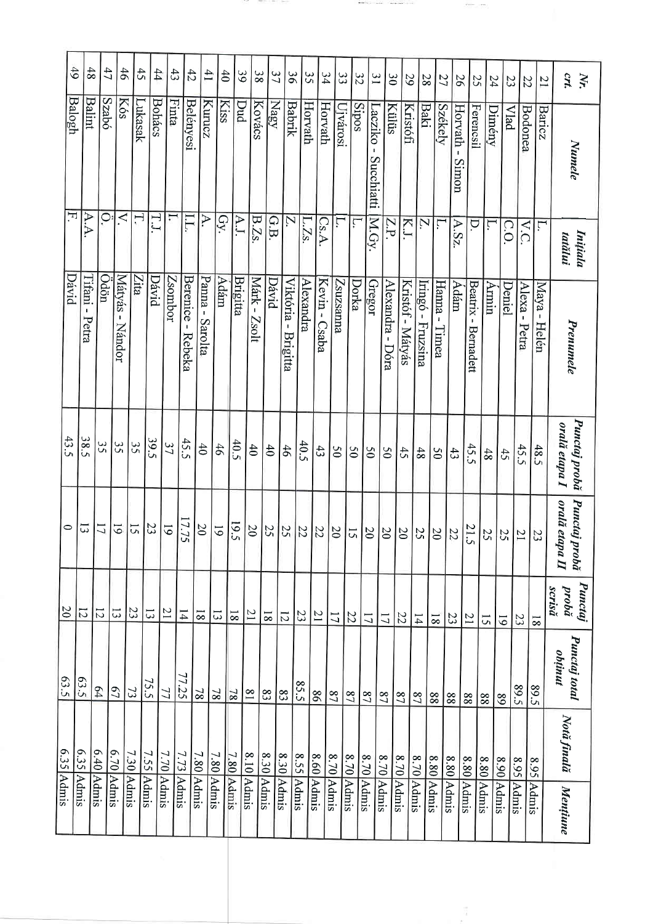|                | 49             | 48                | 47            | 46                               | $\ddot{5}$     | 44            | 43             | 42                 | 41              | 40                  | 65             | 38           | 37             | $\tilde{96}$          | 35         | 34              | 33             | 32             |                | 31             | $\infty$           | 29               | 28                | 27               | 56                 | 25                                         | 54             | 23              | $\overline{z}$    | $^{17}$                 | $N_r$                             |
|----------------|----------------|-------------------|---------------|----------------------------------|----------------|---------------|----------------|--------------------|-----------------|---------------------|----------------|--------------|----------------|-----------------------|------------|-----------------|----------------|----------------|----------------|----------------|--------------------|------------------|-------------------|------------------|--------------------|--------------------------------------------|----------------|-----------------|-------------------|-------------------------|-----------------------------------|
|                | Balogh<br>F,   | <b>Balint</b>     | <b>Szabó</b>  | Kós                              | Lukasak        | <b>Bohács</b> | Finta          | <b>Belényesi</b>   | Kurucz          | <b>Kiss</b>         | Dud            | Kovács       | Nagy           | <b>Babrik</b>         | Horvath    | Horvath         | Ujvárosi       | Sipos          | Succhiatti     | acziko         | Külüs              | Kristófi         | <b>Baki</b>       | Székely          | Horvath -<br>Simon | Ferencsil                                  | Dimény         | <b>Vlad</b>     | Bodonea           | Baricz                  | Numele                            |
|                |                | A.A.              | $\dot{\circ}$ | $\leq$                           | Η,             | T.I           |                | I.L.               | A.              | GY                  | A.J.           | B.Zs.        | G.B            | N.                    | L.Z.       | Cs.A.           | Ļ.             | ŗ,             | M.Gy.          |                | Z.P                | K.J              | N.                | Γ.               | A.Sz               | D.                                         | ٣.             | C.O             | $\overline{V.C.}$ | Ĺ.                      | Inițiala<br>tatălui               |
| Dávid          |                | Tifani -<br>Petra | Odön          | Mátyás<br>$\mathbf{I}$<br>Nándor | Zita           | Dávid         | <b>Zsombor</b> | Berenice<br>Rebeka | Panna - Sarolta | Adám                | Brigitta       | Márk - Zsolt | David          | Viktória-<br>Brigitta | Alexandra  | Kevin - Csaba   | Zsuzsama<br>Z  | Dorka          | Gregor         |                | Alexandra-<br>Dóra | Kristóf - Mátyás | Iringó - Fruzsina | Hanna -<br>Timea | Adám               | <b>Beatrix</b><br>$\mathbf I$<br>Bernadett | Armin          | Deniel          | Alexa-<br>Petra   | Maya -<br>Helén         | Prenumele                         |
| 43.5           | 38.5           |                   | 35            | 32                               | 35             | 39.5          | 37             | 45.5               | $\overline{40}$ | 46                  | 40.5           | 40           | $\ddot{ }$     | 46                    | 40.5       | 43              | $\overline{0}$ | 50             | $\overline{0}$ | 05             |                    | 45               | 48                | $\overline{05}$  | 43                 | 45.5                                       | 48             | 42              | 45.5              | 48.5                    | Punctaj probă<br>orală etapa I    |
| $\circ$        | 13             |                   | 17            | $\overline{6}$                   | 51             | 23            | $\overline{6}$ | 7.75               | 20              | $\overline{61}$     | 19.5           | 20           | 25             | 25                    | 22         | 22              | 0 <sup>z</sup> | 51             | $\overline{0}$ | 0 <sup>z</sup> |                    | 20               | 25                | $\overline{0}$   | 22                 | 21.5                                       | 52             | 25              | $\overline{21}$   | 23                      | Punctaj probă<br>orală etapa II   |
| $\overline{0}$ | $\overline{z}$ | $\overline{5}$    |               | $\overline{3}$                   | 23             | 13            | 17             | $\overline{1}4$    | $\overline{8}$  | $\overline{\omega}$ | $\overline{8}$ | 21           | $\overline{8}$ | $\overline{z}$        | 23         | $\overline{21}$ | 11             | 22             | 17             | $\overline{L}$ | 22                 |                  | 14                | $\overline{8}$   | 23                 | $\overline{21}$                            | $\overline{c}$ | $\overline{61}$ | 23                | $\overline{\mathbf{8}}$ | <b>Punctaj</b><br>probă<br>scrisă |
| 63.5           | 63.5           | 64                |               | 67                               | $\mathfrak{Z}$ | 75.5          | 77             | 77.25              | $\overline{8}$  | $\overline{81}$     | 8 <sub>L</sub> | $^{18}$      | 83             | $\infty$              | 85.5       | 98              | 2 <sup>2</sup> | 2 <sub>2</sub> | 27             | 2 <sub>2</sub> | 2 <sup>0</sup>     |                  | 27                | 88               | 88                 | $88\,$                                     | $88\,$         | 68              | 89.5              | 89.5                    | Punctaj total<br>obținut          |
| 6.35 Admis     | 6.35 Admis     | 6.40 Admis        | 6.70 Admis    |                                  | 7.30 Admis     | 7.55 Admis    | 7.70 Admis     | 7.73 Admis         | 7.80 Admis      |                     |                | 8.10 Admis   |                |                       |            |                 |                |                |                |                |                    |                  |                   |                  |                    |                                            |                |                 |                   |                         | Notă finală                       |
|                |                |                   |               |                                  |                |               |                |                    |                 | 7.80 Admis          | 7.80 Admis     |              | 8.30 Admis     | 8.30 Admis            | 8.55 Admis | $8.60$ Admis    | 8.70 Admis     | 8.70 Admis     | $8.70$ Admis   | 8.70 Admis     | 8.70 Admis         | 8.70 Admis       | 8.80 Admis        | 8.80 Admis       |                    | 8.80 Admis                                 | 8.80 Admis     | 8.90 Admis      | 8.95 Admis        | 8.95 Admis              | Mențiune                          |

and a the second state of the conAntonio Carterina

 $1 - 4$ 

 $\mathcal{O}(10^{-3} \log n)$ 

Ŧ,